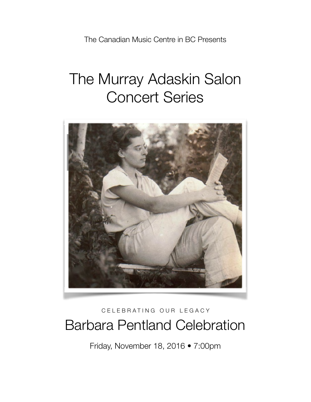The Canadian Music Centre in BC Presents

# The Murray Adaskin Salon Concert Series



## CELEBRATING OUR LEGACY Barbara Pentland Celebration

Friday, November 18, 2016 • 7:00pm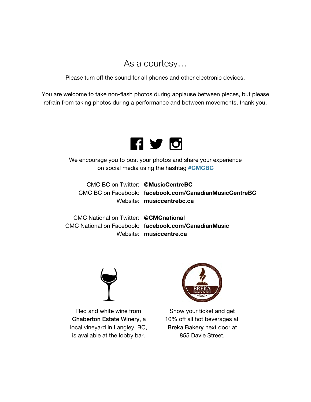## As a courtesy…

Please turn off the sound for all phones and other electronic devices.

You are welcome to take non-flash photos during applause between pieces, but please refrain from taking photos during a performance and between movements, thank you.



We encourage you to post your photos and share your experience on social media using the hashtag #CMCBC

CMC BC on Twitter: @MusicCentreBC CMC BC on Facebook: facebook.com/CanadianMusicCentreBC Website: musiccentrebc.ca

CMC National on Twitter: @CMCnational CMC National on Facebook: facebook.com/CanadianMusic Website: musiccentre.ca



Red and white wine from Chaberton Estate Winery, a local vineyard in Langley, BC, is available at the lobby bar.



Show your ticket and get 10% off all hot beverages at Breka Bakery next door at 855 Davie Street.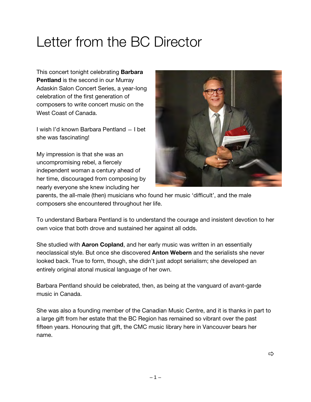## Letter from the BC Director

This concert tonight celebrating **Barbara** Pentland is the second in our Murray Adaskin Salon Concert Series, a year-long celebration of the first generation of composers to write concert music on the West Coast of Canada.

I wish I'd known Barbara Pentland — I bet she was fascinating!

My impression is that she was an uncompromising rebel, a fiercely independent woman a century ahead of her time, discouraged from composing by nearly everyone she knew including her



parents, the all-male (then) musicians who found her music 'difficult', and the male composers she encountered throughout her life.

To understand Barbara Pentland is to understand the courage and insistent devotion to her own voice that both drove and sustained her against all odds.

She studied with **Aaron Copland**, and her early music was written in an essentially neoclassical style. But once she discovered Anton Webern and the serialists she never looked back. True to form, though, she didn't just adopt serialism; she developed an entirely original atonal musical language of her own.

Barbara Pentland should be celebrated, then, as being at the vanguard of avant-garde music in Canada.

She was also a founding member of the Canadian Music Centre, and it is thanks in part to a large gift from her estate that the BC Region has remained so vibrant over the past fifteen years. Honouring that gift, the CMC music library here in Vancouver bears her name.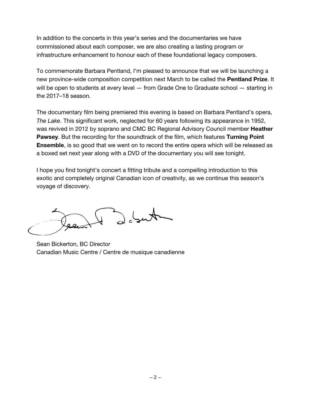In addition to the concerts in this year's series and the documentaries we have commissioned about each composer, we are also creating a lasting program or infrastructure enhancement to honour each of these foundational legacy composers.

To commemorate Barbara Pentland, I'm pleased to announce that we will be launching a new province-wide composition competition next March to be called the Pentland Prize. It will be open to students at every level – from Grade One to Graduate school – starting in the 2017–18 season.

The documentary film being premiered this evening is based on Barbara Pentland's opera, *The Lake*. This significant work, neglected for 60 years following its appearance in 1952, was revived in 2012 by soprano and CMC BC Regional Advisory Council member **Heather** Pawsey. But the recording for the soundtrack of the film, which features Turning Point **Ensemble**, is so good that we went on to record the entire opera which will be released as a boxed set next year along with a DVD of the documentary you will see tonight.

I hope you find tonight's concert a fitting tribute and a compelling introduction to this exotic and completely original Canadian icon of creativity, as we continue this season's voyage of discovery.

Aus 6 X

Sean Bickerton, BC Director Canadian Music Centre / Centre de musique canadienne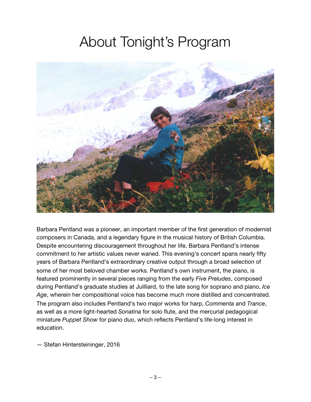## About Tonight's Program



Barbara Pentland was a pioneer, an important member of the first generation of modernist composers in Canada, and a legendary figure in the musical history of British Columbia. Despite encountering discouragement throughout her life, Barbara Pentland's intense commitment to her artistic values never waned. This evening's concert spans nearly fifty years of Barbara Pentland's extraordinary creative output through a broad selection of some of her most beloved chamber works. Pentland's own instrument, the piano, is featured prominently in several pieces ranging from the early *Five Preludes*, composed during Pentland's graduate studies at Juilliard, to the late song for soprano and piano, *Ice Age*, wherein her compositional voice has become much more distilled and concentrated. The program also includes Pentland's two major works for harp, *Commenta* and *Trance*, as well as a more light-hearted *Sonatina* for solo flute, and the mercurial pedagogical miniature *Puppet Show* for piano duo, which reflects Pentland's life-long interest in education.

— Stefan Hintersteininger, 2016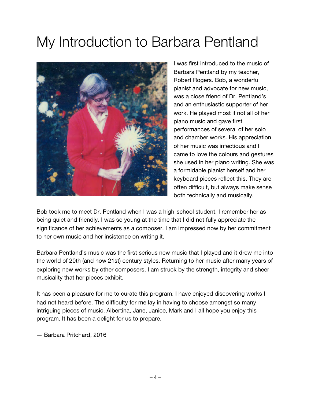## My Introduction to Barbara Pentland



I was first introduced to the music of Barbara Pentland by my teacher, Robert Rogers. Bob, a wonderful pianist and advocate for new music, was a close friend of Dr. Pentland's and an enthusiastic supporter of her work. He played most if not all of her piano music and gave first performances of several of her solo and chamber works. His appreciation of her music was infectious and I came to love the colours and gestures she used in her piano writing. She was a formidable pianist herself and her keyboard pieces reflect this. They are often difficult, but always make sense both technically and musically.

Bob took me to meet Dr. Pentland when I was a high-school student. I remember her as being quiet and friendly. I was so young at the time that I did not fully appreciate the significance of her achievements as a composer. I am impressed now by her commitment to her own music and her insistence on writing it.

Barbara Pentland's music was the first serious new music that I played and it drew me into the world of 20th (and now 21st) century styles. Returning to her music after many years of exploring new works by other composers, I am struck by the strength, integrity and sheer musicality that her pieces exhibit.

It has been a pleasure for me to curate this program. I have enjoyed discovering works I had not heard before. The difficulty for me lay in having to choose amongst so many intriguing pieces of music. Albertina, Jane, Janice, Mark and I all hope you enjoy this program. It has been a delight for us to prepare.

— Barbara Pritchard, 2016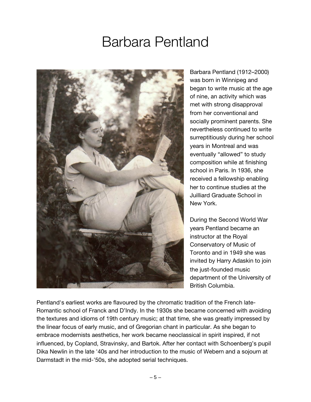## Barbara Pentland



Barbara Pentland (1912–2000) was born in Winnipeg and began to write music at the age of nine, an activity which was met with strong disapproval from her conventional and socially prominent parents. She nevertheless continued to write surreptitiously during her school years in Montreal and was eventually "allowed" to study composition while at finishing school in Paris. In 1936, she received a fellowship enabling her to continue studies at the Juilliard Graduate School in New York.

During the Second World War years Pentland became an instructor at the Royal Conservatory of Music of Toronto and in 1949 she was invited by Harry Adaskin to join the just-founded music department of the University of British Columbia.

Pentland's earliest works are flavoured by the chromatic tradition of the French late-Romantic school of Franck and D'Indy. In the 1930s she became concerned with avoiding the textures and idioms of 19th century music; at that time, she was greatly impressed by the linear focus of early music, and of Gregorian chant in particular. As she began to embrace modernists aesthetics, her work became neoclassical in spirit inspired, if not influenced, by Copland, Stravinsky, and Bartok. After her contact with Schoenberg's pupil Dika Newlin in the late '40s and her introduction to the music of Webern and a sojourn at Darmstadt in the mid-'50s, she adopted serial techniques.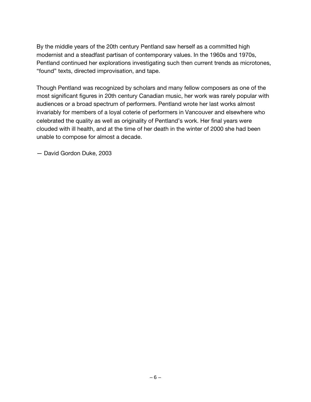By the middle years of the 20th century Pentland saw herself as a committed high modernist and a steadfast partisan of contemporary values. In the 1960s and 1970s, Pentland continued her explorations investigating such then current trends as microtones, "found" texts, directed improvisation, and tape.

Though Pentland was recognized by scholars and many fellow composers as one of the most significant figures in 20th century Canadian music, her work was rarely popular with audiences or a broad spectrum of performers. Pentland wrote her last works almost invariably for members of a loyal coterie of performers in Vancouver and elsewhere who celebrated the quality as well as originality of Pentland's work. Her final years were clouded with ill health, and at the time of her death in the winter of 2000 she had been unable to compose for almost a decade.

— David Gordon Duke, 2003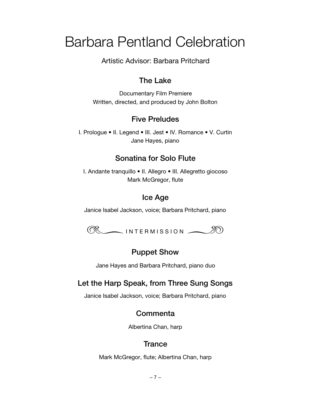## Barbara Pentland Celebration

Artistic Advisor: Barbara Pritchard

#### The Lake

Documentary Film Premiere Written, directed, and produced by John Bolton

#### Five Preludes

I. Prologue • II. Legend • III. Jest • IV. Romance • V. Curtin Jane Hayes, piano

## Sonatina for Solo Flute

I. Andante tranquillo • II. Allegro • III. Allegretto giocoso Mark McGregor, flute

## Ice Age

Janice Isabel Jackson, voice; Barbara Pritchard, piano



## Puppet Show

Jane Hayes and Barbara Pritchard, piano duo

## Let the Harp Speak, from Three Sung Songs

Janice Isabel Jackson, voice; Barbara Pritchard, piano

#### **Commenta**

Albertina Chan, harp

## **Trance**

Mark McGregor, flute; Albertina Chan, harp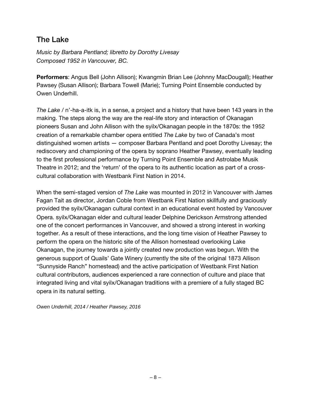### The Lake

*Music by Barbara Pentland; libretto by Dorothy Livesay Composed 1952 in Vancouver, BC.* 

Performers: Angus Bell (John Allison); Kwangmin Brian Lee (Johnny MacDougall); Heather Pawsey (Susan Allison); Barbara Towell (Marie); Turning Point Ensemble conducted by Owen Underhill.

*The Lake* / n'-ha-a-itk is, in a sense, a project and a history that have been 143 years in the making. The steps along the way are the real-life story and interaction of Okanagan pioneers Susan and John Allison with the syilx/Okanagan people in the 1870s: the 1952 creation of a remarkable chamber opera entitled *The Lake* by two of Canada's most distinguished women artists — composer Barbara Pentland and poet Dorothy Livesay; the rediscovery and championing of the opera by soprano Heather Pawsey, eventually leading to the first professional performance by Turning Point Ensemble and Astrolabe Musik Theatre in 2012; and the 'return' of the opera to its authentic location as part of a crosscultural collaboration with Westbank First Nation in 2014.

When the semi-staged version of *The Lake* was mounted in 2012 in Vancouver with James Fagan Tait as director, Jordan Coble from Westbank First Nation skillfully and graciously provided the syilx/Okanagan cultural context in an educational event hosted by Vancouver Opera. syilx/Okanagan elder and cultural leader Delphine Derickson Armstrong attended one of the concert performances in Vancouver, and showed a strong interest in working together. As a result of these interactions, and the long time vision of Heather Pawsey to perform the opera on the historic site of the Allison homestead overlooking Lake Okanagan, the journey towards a jointly created new production was begun. With the generous support of Quails' Gate Winery (currently the site of the original 1873 Allison "Sunnyside Ranch" homestead) and the active participation of Westbank First Nation cultural contributors, audiences experienced a rare connection of culture and place that integrated living and vital syilx/Okanagan traditions with a premiere of a fully staged BC opera in its natural setting.

*Owen Underhill, 2014 / Heather Pawsey, 2016*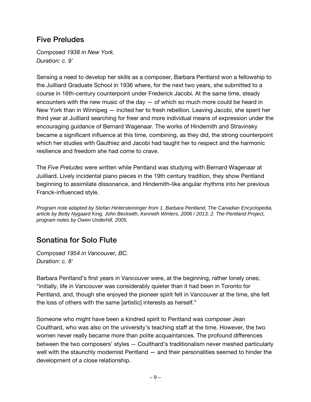## Five Preludes

*Composed 1938 in New York. Duration: c. 9'*

Sensing a need to develop her skills as a composer, Barbara Pentland won a fellowship to the Juilliard Graduate School in 1936 where, for the next two years, she submitted to a course in 16th-century counterpoint under Frederick Jacobi. At the same time, steady encounters with the new music of the day  $-$  of which so much more could be heard in New York than in Winnipeg — incited her to fresh rebellion. Leaving Jacobi, she spent her third year at Juilliard searching for freer and more individual means of expression under the encouraging guidance of Bernard Wagenaar. The works of Hindemith and Stravinsky became a significant influence at this time, combining, as they did, the strong counterpoint which her studies with Gauthiez and Jacobi had taught her to respect and the harmonic resilience and freedom she had come to crave.

The *Five Preludes* were written while Pentland was studying with Bernard Wagenaar at Juilliard. Lively incidental piano pieces in the 19th century tradition, they show Pentland beginning to assimilate dissonance, and Hindemith-like angular rhythms into her previous Franck-influenced style.

*Program note adapted by Stefan Hintersteininger from 1. Barbara Pentland, The Canadian Encyclopedia, article by Betty Nygaard King, John Beckwith, Kenneth Winters, 2006 / 2013; 2. The Pentland Project, program notes by Owen Underhill, 2005.*

## Sonatina for Solo Flute

*Composed 1954 in Vancouver, BC. Duration: c. 8'*

Barbara Pentland's first years in Vancouver were, at the beginning, rather lonely ones; "initially, life in Vancouver was considerably quieter than it had been in Toronto for Pentland, and, though she enjoyed the pioneer spirit felt in Vancouver at the time, she felt the loss of others with the same [artistic] interests as herself."

Someone who might have been a kindred spirit to Pentland was composer Jean Coulthard, who was also on the university's teaching staff at the time. However, the two women never really became more than polite acquaintances. The profound differences between the two composers' styles — Coulthard's traditionalism never meshed particularly well with the staunchly modernist Pentland — and their personalities seemed to hinder the development of a close relationship.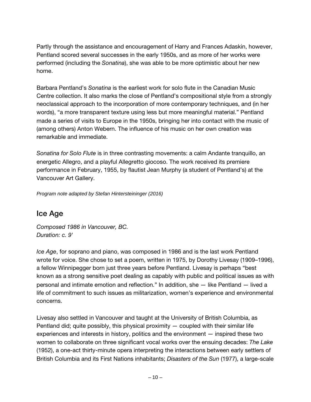Partly through the assistance and encouragement of Harry and Frances Adaskin, however, Pentland scored several successes in the early 1950s, and as more of her works were performed (including the *Sonatina*), she was able to be more optimistic about her new home.

Barbara Pentland's *Sonatina* is the earliest work for solo flute in the Canadian Music Centre collection. It also marks the close of Pentland's compositional style from a strongly neoclassical approach to the incorporation of more contemporary techniques, and (in her words), "a more transparent texture using less but more meaningful material." Pentland made a series of visits to Europe in the 1950s, bringing her into contact with the music of (among others) Anton Webern. The influence of his music on her own creation was remarkable and immediate.

*Sonatina for Solo Flute* is in three contrasting movements: a calm Andante tranquillo, an energetic Allegro, and a playful Allegretto giocoso. The work received its premiere performance in February, 1955, by flautist Jean Murphy (a student of Pentland's) at the Vancouver Art Gallery.

*Program note adapted by Stefan Hintersteininger (2016)*

#### Ice Age

*Composed 1986 in Vancouver, BC. Duration: c. 9'* 

*Ice Age*, for soprano and piano, was composed in 1986 and is the last work Pentland wrote for voice. She chose to set a poem, written in 1975, by Dorothy Livesay (1909–1996), a fellow Winnipegger born just three years before Pentland. Livesay is perhaps "best known as a strong sensitive poet dealing as capably with public and political issues as with personal and intimate emotion and reflection." In addition, she — like Pentland — lived a life of commitment to such issues as militarization, women's experience and environmental concerns.

Livesay also settled in Vancouver and taught at the University of British Columbia, as Pentland did; quite possibly, this physical proximity  $-$  coupled with their similar life experiences and interests in history, politics and the environment — inspired these two women to collaborate on three significant vocal works over the ensuing decades: *The Lake* (1952), a one-act thirty-minute opera interpreting the interactions between early settlers of British Columbia and its First Nations inhabitants; *Disasters of the Sun* (1977), a large-scale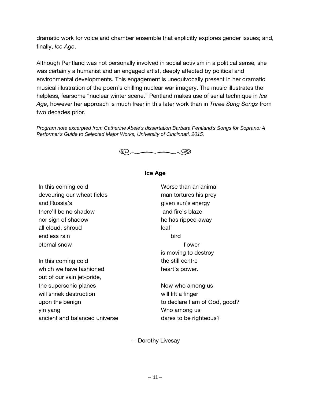dramatic work for voice and chamber ensemble that explicitly explores gender issues; and, finally, *Ice Age*.

Although Pentland was not personally involved in social activism in a political sense, she was certainly a humanist and an engaged artist, deeply affected by political and environmental developments. This engagement is unequivocally present in her dramatic musical illustration of the poem's chilling nuclear war imagery. The music illustrates the helpless, fearsome "nuclear winter scene." Pentland makes use of serial technique in *Ice Age*, however her approach is much freer in this later work than in *Three Sung Songs* from two decades prior.

*Program note excerpted from Catherine Abele's dissertation Barbara Pentland's Songs for Soprano: A Performer's Guide to Selected Major Works, University of Cincinnati, 2015.* 



#### Ice Age

In this coming cold devouring our wheat fields and Russia's there'll be no shadow nor sign of shadow all cloud, shroud endless rain eternal snow

In this coming cold which we have fashioned out of our vain jet-pride, the supersonic planes will shriek destruction upon the benign yin yang ancient and balanced universe Worse than an animal man tortures his prey given sun's energy and fire's blaze he has ripped away leaf bird flower is moving to destroy the still centre heart's power.

Now who among us will lift a finger to declare I am of God, good? Who among us dares to be righteous?

— Dorothy Livesay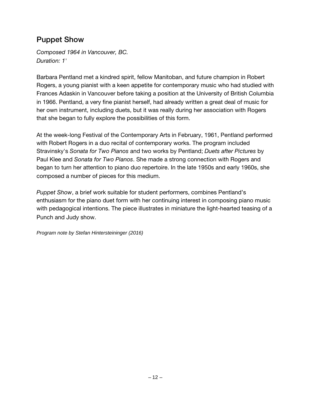### Puppet Show

*Composed 1964 in Vancouver, BC. Duration: 1'*

Barbara Pentland met a kindred spirit, fellow Manitoban, and future champion in Robert Rogers, a young pianist with a keen appetite for contemporary music who had studied with Frances Adaskin in Vancouver before taking a position at the University of British Columbia in 1966. Pentland, a very fine pianist herself, had already written a great deal of music for her own instrument, including duets, but it was really during her association with Rogers that she began to fully explore the possibilities of this form.

At the week-long Festival of the Contemporary Arts in February, 1961, Pentland performed with Robert Rogers in a duo recital of contemporary works. The program included Stravinsky's *Sonata for Two Pianos* and two works by Pentland; *Duets after Pictures* by Paul Klee and *Sonata for Two Pianos*. She made a strong connection with Rogers and began to turn her attention to piano duo repertoire. In the late 1950s and early 1960s, she composed a number of pieces for this medium.

*Puppet Show*, a brief work suitable for student performers, combines Pentland's enthusiasm for the piano duet form with her continuing interest in composing piano music with pedagogical intentions. The piece illustrates in miniature the light-hearted teasing of a Punch and Judy show.

*Program note by Stefan Hintersteininger (2016)*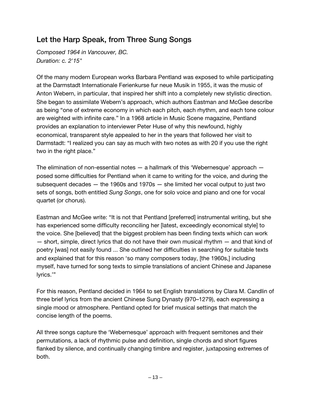## Let the Harp Speak, from Three Sung Songs

*Composed 1964 in Vancouver, BC. Duration: c. 2'15"* 

Of the many modern European works Barbara Pentland was exposed to while participating at the Darmstadt Internationale Ferienkurse fur neue Musik in 1955, it was the music of Anton Webern, in particular, that inspired her shift into a completely new stylistic direction. She began to assimilate Webern's approach, which authors Eastman and McGee describe as being "one of extreme economy in which each pitch, each rhythm, and each tone colour are weighted with infinite care." In a 1968 article in Music Scene magazine, Pentland provides an explanation to interviewer Peter Huse of why this newfound, highly economical, transparent style appealed to her in the years that followed her visit to Darmstadt: "I realized you can say as much with two notes as with 20 if you use the right two in the right place."

The elimination of non-essential notes — a hallmark of this 'Webernesque' approach posed some difficulties for Pentland when it came to writing for the voice, and during the subsequent decades — the 1960s and 1970s — she limited her vocal output to just two sets of songs, both entitled *Sung Songs*, one for solo voice and piano and one for vocal quartet (or chorus).

Eastman and McGee write: "It is not that Pentland [preferred] instrumental writing, but she has experienced some difficulty reconciling her [latest, exceedingly economical style] to the voice. She [believed] that the biggest problem has been finding texts which can work — short, simple, direct lyrics that do not have their own musical rhythm — and that kind of poetry [was] not easily found ... She outlined her difficulties in searching for suitable texts and explained that for this reason 'so many composers today, [the 1960s,] including myself, have turned for song texts to simple translations of ancient Chinese and Japanese lyrics.'"

For this reason, Pentland decided in 1964 to set English translations by Clara M. Candlin of three brief lyrics from the ancient Chinese Sung Dynasty (970–1279), each expressing a single mood or atmosphere. Pentland opted for brief musical settings that match the concise length of the poems.

All three songs capture the 'Webernesque' approach with frequent semitones and their permutations, a lack of rhythmic pulse and definition, single chords and short figures flanked by silence, and continually changing timbre and register, juxtaposing extremes of both.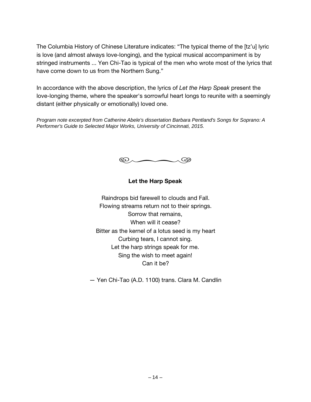The Columbia History of Chinese Literature indicates: "The typical theme of the [tz'u] lyric is love (and almost always love-longing), and the typical musical accompaniment is by stringed instruments ... Yen Chi-Tao is typical of the men who wrote most of the lyrics that have come down to us from the Northern Sung."

In accordance with the above description, the lyrics of *Let the Harp Speak* present the love-longing theme, where the speaker's sorrowful heart longs to reunite with a seemingly distant (either physically or emotionally) loved one.

*Program note excerpted from Catherine Abele's dissertation Barbara Pentland's Songs for Soprano: A Performer's Guide to Selected Major Works, University of Cincinnati, 2015.*



#### Let the Harp Speak

Raindrops bid farewell to clouds and Fall. Flowing streams return not to their springs. Sorrow that remains, When will it cease? Bitter as the kernel of a lotus seed is my heart Curbing tears, I cannot sing. Let the harp strings speak for me. Sing the wish to meet again! Can it be?

— Yen Chi-Tao (A.D. 1100) trans. Clara M. Candlin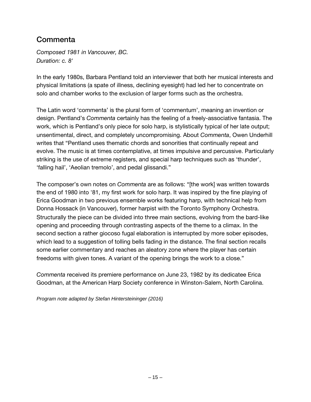### **Commenta**

*Composed 1981 in Vancouver, BC. Duration: c. 8'* 

In the early 1980s, Barbara Pentland told an interviewer that both her musical interests and physical limitations (a spate of illness, declining eyesight) had led her to concentrate on solo and chamber works to the exclusion of larger forms such as the orchestra.

The Latin word 'commenta' is the plural form of 'commentum', meaning an invention or design. Pentland's *Commenta* certainly has the feeling of a freely-associative fantasia. The work, which is Pentland's only piece for solo harp, is stylistically typical of her late output; unsentimental, direct, and completely uncompromising. About *Commenta*, Owen Underhill writes that "Pentland uses thematic chords and sonorities that continually repeat and evolve. The music is at times contemplative, at times impulsive and percussive. Particularly striking is the use of extreme registers, and special harp techniques such as 'thunder', 'falling hail', 'Aeolian tremolo', and pedal glissandi."

The composer's own notes on *Commenta* are as follows: "[the work] was written towards the end of 1980 into '81, my first work for solo harp. It was inspired by the fine playing of Erica Goodman in two previous ensemble works featuring harp, with technical help from Donna Hossack (in Vancouver), former harpist with the Toronto Symphony Orchestra. Structurally the piece can be divided into three main sections, evolving from the bard-like opening and proceeding through contrasting aspects of the theme to a climax. In the second section a rather giocoso fugal elaboration is interrupted by more sober episodes, which lead to a suggestion of tolling bells fading in the distance. The final section recalls some earlier commentary and reaches an aleatory zone where the player has certain freedoms with given tones. A variant of the opening brings the work to a close."

*Commenta* received its premiere performance on June 23, 1982 by its dedicatee Erica Goodman, at the American Harp Society conference in Winston-Salem, North Carolina.

*Program note adapted by Stefan Hintersteininger (2016)*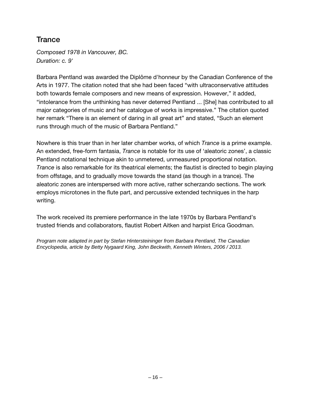#### **Trance**

*Composed 1978 in Vancouver, BC. Duration: c. 9'* 

Barbara Pentland was awarded the Diplôme d'honneur by the Canadian Conference of the Arts in 1977. The citation noted that she had been faced "with ultraconservative attitudes both towards female composers and new means of expression. However," it added, "intolerance from the unthinking has never deterred Pentland ... [She] has contributed to all major categories of music and her catalogue of works is impressive." The citation quoted her remark "There is an element of daring in all great art" and stated, "Such an element runs through much of the music of Barbara Pentland."

Nowhere is this truer than in her later chamber works, of which *Trance* is a prime example. An extended, free-form fantasia, *Trance* is notable for its use of 'aleatoric zones', a classic Pentland notational technique akin to unmetered, unmeasured proportional notation. *Trance* is also remarkable for its theatrical elements; the flautist is directed to begin playing from offstage, and to gradually move towards the stand (as though in a trance). The aleatoric zones are interspersed with more active, rather scherzando sections. The work employs microtones in the flute part, and percussive extended techniques in the harp writing.

The work received its premiere performance in the late 1970s by Barbara Pentland's trusted friends and collaborators, flautist Robert Aitken and harpist Erica Goodman.

*Program note adapted in part by Stefan Hintersteininger from Barbara Pentland, The Canadian Encyclopedia, article by Betty Nygaard King, John Beckwith, Kenneth Winters, 2006 / 2013.*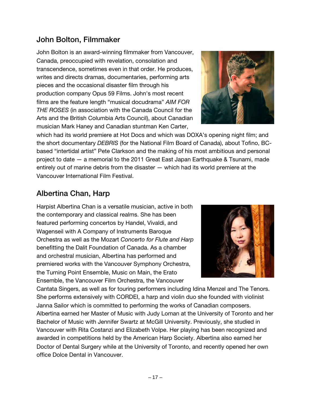### John Bolton, Filmmaker

John Bolton is an award-winning filmmaker from Vancouver, Canada, preoccupied with revelation, consolation and transcendence, sometimes even in that order. He produces, writes and directs dramas, documentaries, performing arts pieces and the occasional disaster film through his production company Opus 59 Films. John's most recent films are the feature length "musical docudrama" *AIM FOR THE ROSES* (in association with the Canada Council for the Arts and the British Columbia Arts Council), about Canadian musician Mark Haney and Canadian stuntman Ken Carter,



which had its world premiere at Hot Docs and which was DOXA's opening night film; and the short documentary *DEBRIS* (for the National Film Board of Canada), about Tofino, BCbased "intertidal artist" Pete Clarkson and the making of his most ambitious and personal project to date — a memorial to the 2011 Great East Japan Earthquake & Tsunami, made entirely out of marine debris from the disaster — which had its world premiere at the Vancouver International Film Festival.

#### Albertina Chan, Harp

Harpist Albertina Chan is a versatile musician, active in both the contemporary and classical realms. She has been featured performing concertos by Handel, Vivaldi, and Wagenseil with A Company of Instruments Baroque Orchestra as well as the Mozart *Concerto for Flute and Harp* benefitting the Dalit Foundation of Canada. As a chamber and orchestral musician, Albertina has performed and premiered works with the Vancouver Symphony Orchestra, the Turning Point Ensemble, Music on Main, the Erato Ensemble, the Vancouver Film Orchestra, the Vancouver



Cantata Singers, as well as for touring performers including Idina Menzel and The Tenors. She performs extensively with CORDEI, a harp and violin duo she founded with violinist Janna Sailor which is committed to performing the works of Canadian composers. Albertina earned her Master of Music with Judy Loman at the University of Toronto and her Bachelor of Music with Jennifer Swartz at McGill University. Previously, she studied in Vancouver with Rita Costanzi and Elizabeth Volpe. Her playing has been recognized and awarded in competitions held by the American Harp Society. Albertina also earned her Doctor of Dental Surgery while at the University of Toronto, and recently opened her own office Dolce Dental in Vancouver.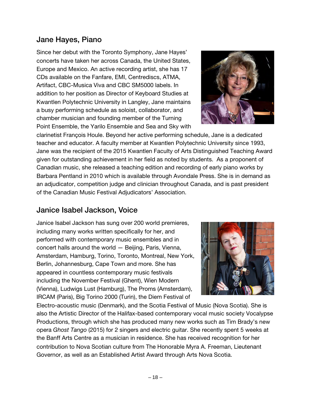#### Jane Hayes, Piano

Since her debut with the Toronto Symphony, Jane Hayes' concerts have taken her across Canada, the United States, Europe and Mexico. An active recording artist, she has 17 CDs available on the Fanfare, EMI, Centrediscs, ATMA, Artifact, CBC-Musica Viva and CBC SM5000 labels. In addition to her position as Director of Keyboard Studies at Kwantlen Polytechnic University in Langley, Jane maintains a busy performing schedule as soloist, collaborator, and chamber musician and founding member of the Turning Point Ensemble, the Yarilo Ensemble and Sea and Sky with



clarinetist François Houle. Beyond her active performing schedule, Jane is a dedicated teacher and educator. A faculty member at Kwantlen Polytechnic University since 1993, Jane was the recipient of the 2015 Kwantlen Faculty of Arts Distinguished Teaching Award given for outstanding achievement in her field as noted by students. As a proponent of Canadian music, she released a teaching edition and recording of early piano works by Barbara Pentland in 2010 which is available through Avondale Press. She is in demand as an adjudicator, competition judge and clinician throughout Canada, and is past president of the Canadian Music Festival Adjudicators' Association.

#### Janice Isabel Jackson, Voice

Janice Isabel Jackson has sung over 200 world premieres, including many works written specifically for her, and performed with contemporary music ensembles and in concert halls around the world — Beijing, Paris, Vienna, Amsterdam, Hamburg, Torino, Toronto, Montreal, New York, Berlin, Johannesburg, Cape Town and more. She has appeared in countless contemporary music festivals including the November Festival (Ghent), Wien Modern (Vienna), Ludwigs Lust (Hamburg), The Proms (Amsterdam), IRCAM (Paris), Big Torino 2000 (Turin), the Diem Festival of



Electro-acoustic music (Denmark), and the Scotia Festival of Music (Nova Scotia). She is also the Artistic Director of the Halifax-based contemporary vocal music society Vocalypse Productions, through which she has produced many new works such as Tim Brady's new opera *Ghost Tango* (2015) for 2 singers and electric guitar. She recently spent 5 weeks at the Banff Arts Centre as a musician in residence. She has received recognition for her contribution to Nova Scotian culture from The Honorable Myra A. Freeman, Lieutenant Governor, as well as an Established Artist Award through Arts Nova Scotia.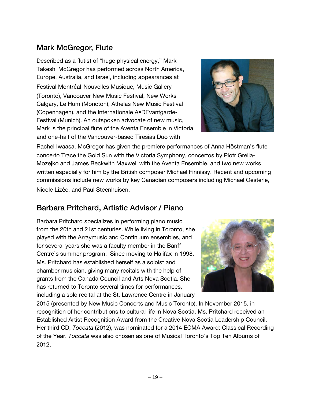## Mark McGregor, Flute

Described as a flutist of "huge physical energy," Mark Takeshi McGregor has performed across North America, Europe, Australia, and Israel, including appearances at Festival Montréal-Nouvelles Musique, Music Gallery (Toronto), Vancouver New Music Festival, New Works Calgary, Le Hum (Moncton), Athelas New Music Festival (Copenhagen), and the Internationale A•DEvantgarde-Festival (Munich). An outspoken advocate of new music, Mark is the principal flute of the Aventa Ensemble in Victoria and one-half of the Vancouver-based Tiresias Duo with



Rachel Iwaasa. McGregor has given the premiere performances of Anna Höstman's flute concerto Trace the Gold Sun with the Victoria Symphony, concertos by Piotr Grella-Mozejko and James Beckwith Maxwell with the Aventa Ensemble, and two new works written especially for him by the British composer Michael Finnissy. Recent and upcoming commissions include new works by key Canadian composers including Michael Oesterle, Nicole Lizée, and Paul Steenhuisen.

## Barbara Pritchard, Artistic Advisor / Piano

Barbara Pritchard specializes in performing piano music from the 20th and 21st centuries. While living in Toronto, she played with the Arraymusic and Continuum ensembles, and for several years she was a faculty member in the Banff Centre's summer program. Since moving to Halifax in 1998, Ms. Pritchard has established herself as a soloist and chamber musician, giving many recitals with the help of grants from the Canada Council and Arts Nova Scotia. She has returned to Toronto several times for performances, including a solo recital at the St. Lawrence Centre in January



2015 (presented by New Music Concerts and Music Toronto). In November 2015, in recognition of her contributions to cultural life in Nova Scotia, Ms. Pritchard received an Established Artist Recognition Award from the Creative Nova Scotia Leadership Council. Her third CD, *Toccata* (2012), was nominated for a 2014 ECMA Award: Classical Recording of the Year. *Toccata* was also chosen as one of Musical Toronto's Top Ten Albums of 2012.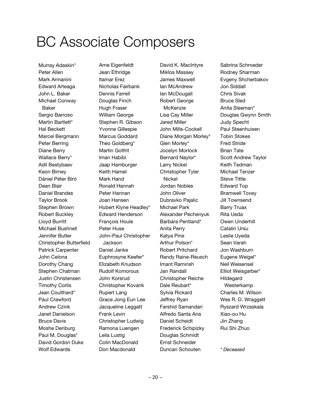## BC Associate Composers

Murray Adaskin\* Peter Allen Mark Armanini Edward Arteaga John L. Baker Michael Conway Baker Sergio Barroso Martin Bartlett\* Hal Beckett Marcel Bergmann Peter Berring Diane Berry Wallace Berry\* Adil Bestybaev Keon Birney Dániel Péter Biró Dean Blair Daniel Brandes Taylor Brook Stephen Brown Robert Buckley Lloyd Burritt Michael Bushnell Jennifer Butler Christopher Butterfield Patrick Carpenter John Celona Dorothy Chang Stephen Chatman Justin Christensen Timothy Corlis Jean Coulthard\* Paul Crawford Andrew Czink Janet Danielson Bruce Davis Moshe Denburg Paul M. Douglas\* David Gordon Duke Wolf Edwards

Arne Eigenfeldt Jean Ethridge Itamar Erez Nicholas Fairbank Dennis Farrell Douglas Finch Hugh Fraser William George Stephen R. Gibson Yvonne Gillespie Marcus Goddard Theo Goldberg\* Martin Gotfrit Iman Habibi Jaap Hamburger Keith Hamel Mark Hand Ronald Hannah Peter Hannan Joan Hansen Hubert Klyne Headley\* Edward Henderson François Houle Peter Huse John-Paul Christopher **Jackson** Daniel Janke Euphrosyne Keefer\* Elizabeth Knudson Rudolf Komorous John Korsrud Christopher Kovarik Rupert Lang Grace Jong Eun Lee Jacqueline Leggatt Frank Levin Christopher Ludwig Ramona Luengen Leila Lustig Colin MacDonald Don Macdonald

David K. MacIntyre Miklos Massey James Maxwell Ian McAndrew Ian McDougall Robert George **McKenzie** Lisa Cay Miller Jared Miller John Mills-Cockell Diane Morgan Morley\* Glen Morley\* Jocelyn Morlock Bernard Naylor\* Larry Nickel Christopher Tyler Nickel Jordan Nobles John Oliver Dubravko Pajalic Michael Park Alexander Pechenyuk Barbara Pentland\* Anita Perry Katya Pine Arthur Polson\* Robert Pritchard Randy Raine-Reusch Imant Raminsh Jan Randall Christopher Reiche Dale Reubart\* Sylvia Rickard Jeffrey Ryan Farshid Samandari Alfredo Santa Ana Daniel Scheidt Frederick Schipizky Douglas Schmidt Ernst Schneider Duncan Schouten

Sabrina Schroeder Rodney Sharman Evgeny Shcherbakov Jon Siddall Chris Sivak Bruce Sled Anita Sleeman\* Douglas Gwynn Smith Judy Specht Paul Steenhuisen Tobin Stokes Fred Stride Brian Tate Scott Andrew Taylor Keith Tedman Michael Tenzer Steve Tittle Edward Top Bramwell Tovey Jill Townsend Barry Truax Rita Ueda Owen Underhill Catalin Ursu Leslie Uyeda Sean Varah Jon Washburn Eugene Weigel\* Neil Weisensel Elliot Weisgarber\* Hildegard Westerkamp Charles M. Wilson Wes R. D. Wraggett Ryszard Wrzaskala Xiao-ou Hu Jin Zhang Rui Shi Zhuo

*\* Deceased*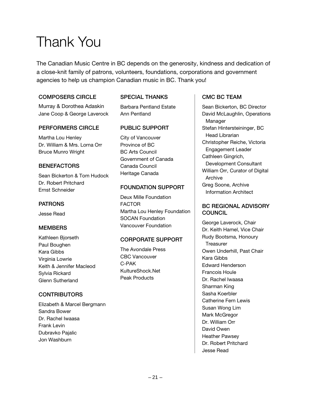## Thank You

The Canadian Music Centre in BC depends on the generosity, kindness and dedication of a close-knit family of patrons, volunteers, foundations, corporations and government agencies to help us champion Canadian music in BC. Thank you!

#### COMPOSERS CIRCLE

Murray & Dorothea Adaskin Jane Coop & George Laverock

#### PERFORMERS CIRCLE

Martha Lou Henley Dr. William & Mrs. Lorna Orr Bruce Munro Wright

#### **BENEFACTORS**

Sean Bickerton & Tom Hudock Dr. Robert Pritchard Ernst Schneider

#### PATRONS

Jesse Read

#### **MEMBERS**

Kathleen Bjorseth Paul Boughen Kara Gibbs Virginia Lowrie Keith & Jennifer Macleod Sylvia Rickard Glenn Sutherland

#### **CONTRIBUTORS**

Elizabeth & Marcel Bergmann Sandra Bower Dr. Rachel Iwaasa Frank Levin Dubravko Pajalic Jon Washburn

#### SPECIAL THANKS

Barbara Pentland Estate Ann Pentland

#### PUBLIC SUPPORT

City of Vancouver Province of BC BC Arts Council Government of Canada Canada Council Heritage Canada

#### FOUNDATION SUPPORT

Deux Mille Foundation FACTOR Martha Lou Henley Foundation SOCAN Foundation Vancouver Foundation

#### CORPORATE SUPPORT

The Avondale Press CBC Vancouver C-PAK KultureShock.Net Peak Products

#### CMC BC TEAM

Sean Bickerton, BC Director David McLaughlin, Operations Manager Stefan Hintersteininger, BC Head Librarian Christopher Reiche, Victoria Engagement Leader Cathleen Gingrich, Development Consultant William Orr, Curator of Digital Archive Greg Soone, Archive Information Architect

#### BC REGIONAL ADVISORY **COUNCIL**

George Laverock, Chair Dr. Keith Hamel, Vice Chair Rudy Bootsma, Honoury **Treasurer** Owen Underhill, Past Chair Kara Gibbs Edward Henderson Francois Houle Dr. Rachel Iwaasa Sharman King Sasha Koerbler Catherine Fern Lewis Susan Wong Lim Mark McGregor Dr. William Orr David Owen Heather Pawsey Dr. Robert Pritchard Jesse Read